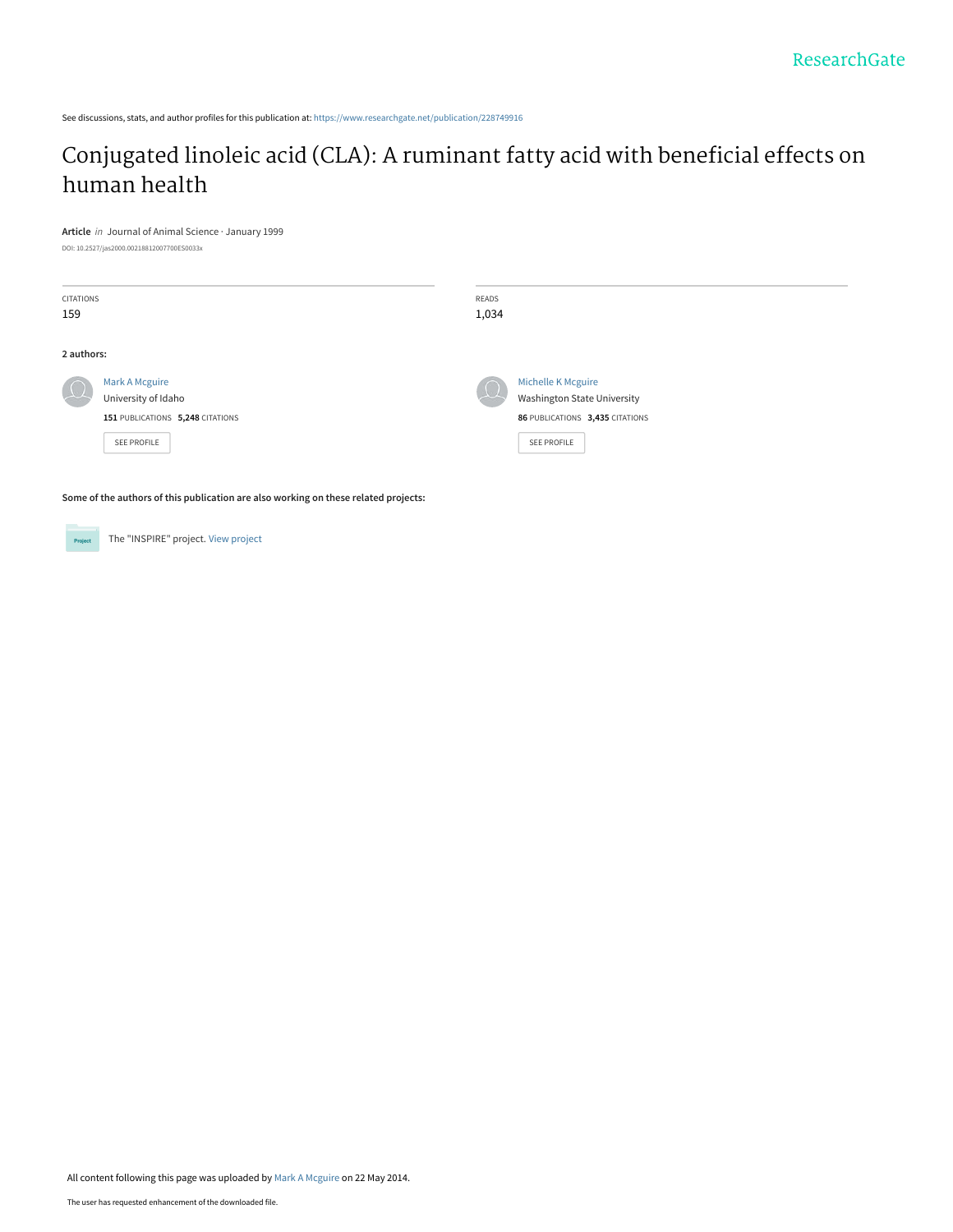See discussions, stats, and author profiles for this publication at: [https://www.researchgate.net/publication/228749916](https://www.researchgate.net/publication/228749916_Conjugated_linoleic_acid_CLA_A_ruminant_fatty_acid_with_beneficial_effects_on_human_health?enrichId=rgreq-3144cf95aafbce7576b60fbcac1b8d94-XXX&enrichSource=Y292ZXJQYWdlOzIyODc0OTkxNjtBUzo5OTcxMTI1NjEwNDk2N0AxNDAwNzg0NDI0ODU4&el=1_x_2&_esc=publicationCoverPdf)

# [Conjugated linoleic acid \(CLA\): A ruminant fatty acid with beneficial effects on](https://www.researchgate.net/publication/228749916_Conjugated_linoleic_acid_CLA_A_ruminant_fatty_acid_with_beneficial_effects_on_human_health?enrichId=rgreq-3144cf95aafbce7576b60fbcac1b8d94-XXX&enrichSource=Y292ZXJQYWdlOzIyODc0OTkxNjtBUzo5OTcxMTI1NjEwNDk2N0AxNDAwNzg0NDI0ODU4&el=1_x_3&_esc=publicationCoverPdf) human health

#### **Article** in Journal of Animal Science · January 1999

DOI: 10.2527/jas2000.00218812007700ES0033x

| CITATIONS<br>159 |                                                                                          | READS<br>1,034 |                                                                                                            |
|------------------|------------------------------------------------------------------------------------------|----------------|------------------------------------------------------------------------------------------------------------|
| 2 authors:       |                                                                                          |                |                                                                                                            |
| $\overline{1}$   | Mark A Mcguire<br>University of Idaho<br>151 PUBLICATIONS 5,248 CITATIONS<br>SEE PROFILE | $\Omega$       | Michelle K Mcguire<br><b>Washington State University</b><br>86 PUBLICATIONS 3,435 CITATIONS<br>SEE PROFILE |

**Some of the authors of this publication are also working on these related projects:**

The "INSPIRE" project. [View project](https://www.researchgate.net/project/The-INSPIRE-project?enrichId=rgreq-3144cf95aafbce7576b60fbcac1b8d94-XXX&enrichSource=Y292ZXJQYWdlOzIyODc0OTkxNjtBUzo5OTcxMTI1NjEwNDk2N0AxNDAwNzg0NDI0ODU4&el=1_x_9&_esc=publicationCoverPdf) Project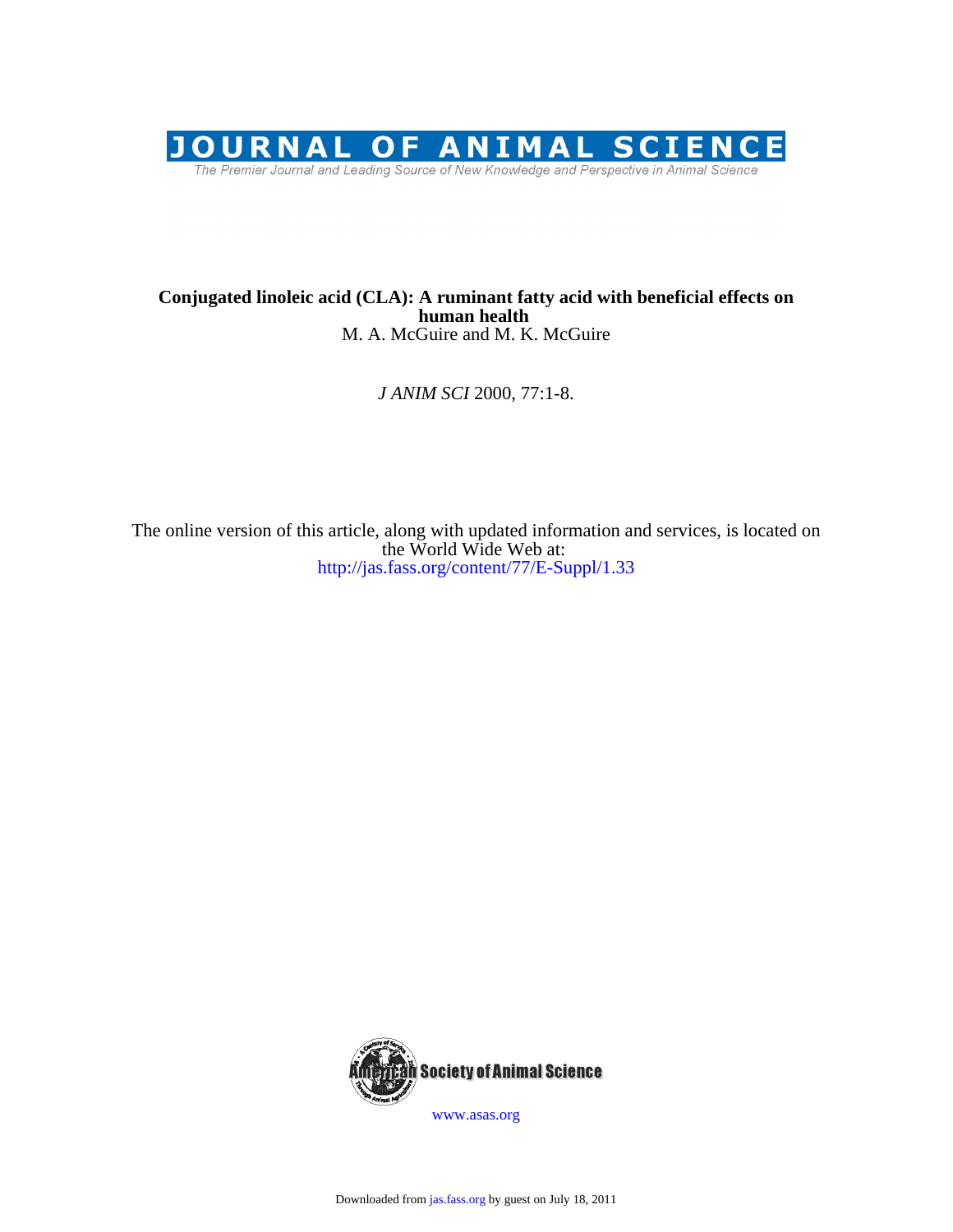

## M. A. McGuire and M. K. McGuire **human health Conjugated linoleic acid (CLA): A ruminant fatty acid with beneficial effects on**

*J ANIM SCI* 2000, 77:1-8.

http://jas.fass.org/content/77/E-Suppl/1.33 the World Wide Web at: The online version of this article, along with updated information and services, is located on



www.asas.org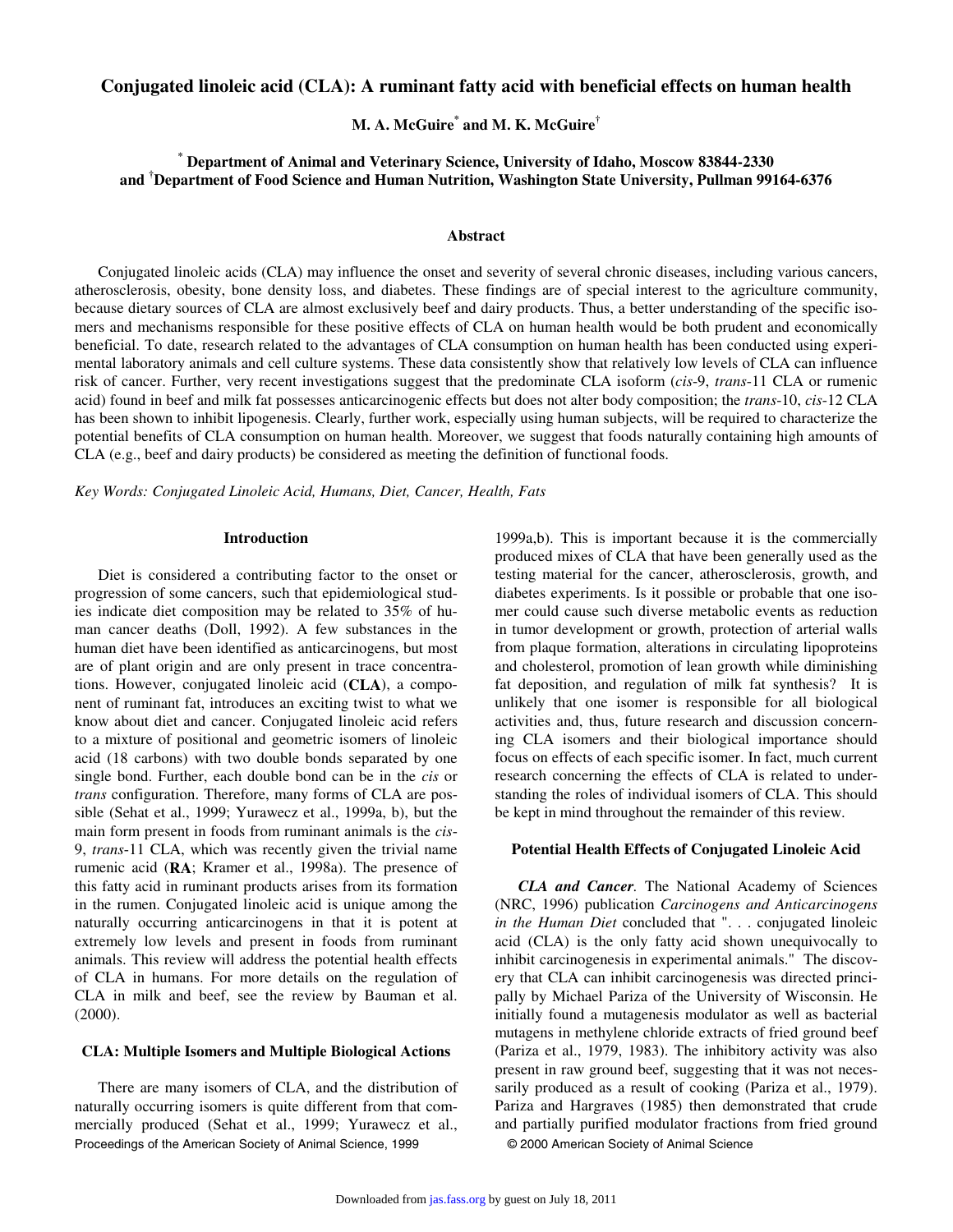## **Conjugated linoleic acid (CLA): A ruminant fatty acid with beneficial effects on human health**

**M. A. McGuire\* and M. K. McGuire†**

**\* Department of Animal and Veterinary Science, University of Idaho, Moscow 83844-2330 and † Department of Food Science and Human Nutrition, Washington State University, Pullman 99164-6376** 

#### **Abstract**

Conjugated linoleic acids (CLA) may influence the onset and severity of several chronic diseases, including various cancers, atherosclerosis, obesity, bone density loss, and diabetes. These findings are of special interest to the agriculture community, because dietary sources of CLA are almost exclusively beef and dairy products. Thus, a better understanding of the specific isomers and mechanisms responsible for these positive effects of CLA on human health would be both prudent and economically beneficial. To date, research related to the advantages of CLA consumption on human health has been conducted using experimental laboratory animals and cell culture systems. These data consistently show that relatively low levels of CLA can influence risk of cancer. Further, very recent investigations suggest that the predominate CLA isoform (*cis*-9, *trans*-11 CLA or rumenic acid) found in beef and milk fat possesses anticarcinogenic effects but does not alter body composition; the *trans*-10, *cis*-12 CLA has been shown to inhibit lipogenesis. Clearly, further work, especially using human subjects, will be required to characterize the potential benefits of CLA consumption on human health. Moreover, we suggest that foods naturally containing high amounts of CLA (e.g., beef and dairy products) be considered as meeting the definition of functional foods.

*Key Words: Conjugated Linoleic Acid, Humans, Diet, Cancer, Health, Fats*

#### **Introduction**

Diet is considered a contributing factor to the onset or progression of some cancers, such that epidemiological studies indicate diet composition may be related to 35% of human cancer deaths (Doll, 1992). A few substances in the human diet have been identified as anticarcinogens, but most are of plant origin and are only present in trace concentrations. However, conjugated linoleic acid (**CLA**), a component of ruminant fat, introduces an exciting twist to what we know about diet and cancer. Conjugated linoleic acid refers to a mixture of positional and geometric isomers of linoleic acid (18 carbons) with two double bonds separated by one single bond. Further, each double bond can be in the *cis* or *trans* configuration. Therefore, many forms of CLA are possible (Sehat et al., 1999; Yurawecz et al., 1999a, b), but the main form present in foods from ruminant animals is the *cis*-9, *trans*-11 CLA, which was recently given the trivial name rumenic acid (**RA**; Kramer et al., 1998a). The presence of this fatty acid in ruminant products arises from its formation in the rumen. Conjugated linoleic acid is unique among the naturally occurring anticarcinogens in that it is potent at extremely low levels and present in foods from ruminant animals. This review will address the potential health effects of CLA in humans. For more details on the regulation of CLA in milk and beef, see the review by Bauman et al. (2000).

## **CLA: Multiple Isomers and Multiple Biological Actions**

Proceedings of the American Society of Animal Science, 1999 © 2000 American Society of Animal Science There are many isomers of CLA, and the distribution of naturally occurring isomers is quite different from that commercially produced (Sehat et al., 1999; Yurawecz et al.,

1999a,b). This is important because it is the commercially produced mixes of CLA that have been generally used as the testing material for the cancer, atherosclerosis, growth, and diabetes experiments. Is it possible or probable that one isomer could cause such diverse metabolic events as reduction in tumor development or growth, protection of arterial walls from plaque formation, alterations in circulating lipoproteins and cholesterol, promotion of lean growth while diminishing fat deposition, and regulation of milk fat synthesis? It is unlikely that one isomer is responsible for all biological activities and, thus, future research and discussion concerning CLA isomers and their biological importance should focus on effects of each specific isomer. In fact, much current research concerning the effects of CLA is related to understanding the roles of individual isomers of CLA. This should be kept in mind throughout the remainder of this review.

#### **Potential Health Effects of Conjugated Linoleic Acid**

*CLA and Cancer.* The National Academy of Sciences (NRC, 1996) publication *Carcinogens and Anticarcinogens in the Human Diet* concluded that ". . . conjugated linoleic acid (CLA) is the only fatty acid shown unequivocally to inhibit carcinogenesis in experimental animals." The discovery that CLA can inhibit carcinogenesis was directed principally by Michael Pariza of the University of Wisconsin. He initially found a mutagenesis modulator as well as bacterial mutagens in methylene chloride extracts of fried ground beef (Pariza et al., 1979, 1983). The inhibitory activity was also present in raw ground beef, suggesting that it was not necessarily produced as a result of cooking (Pariza et al., 1979). Pariza and Hargraves (1985) then demonstrated that crude and partially purified modulator fractions from fried ground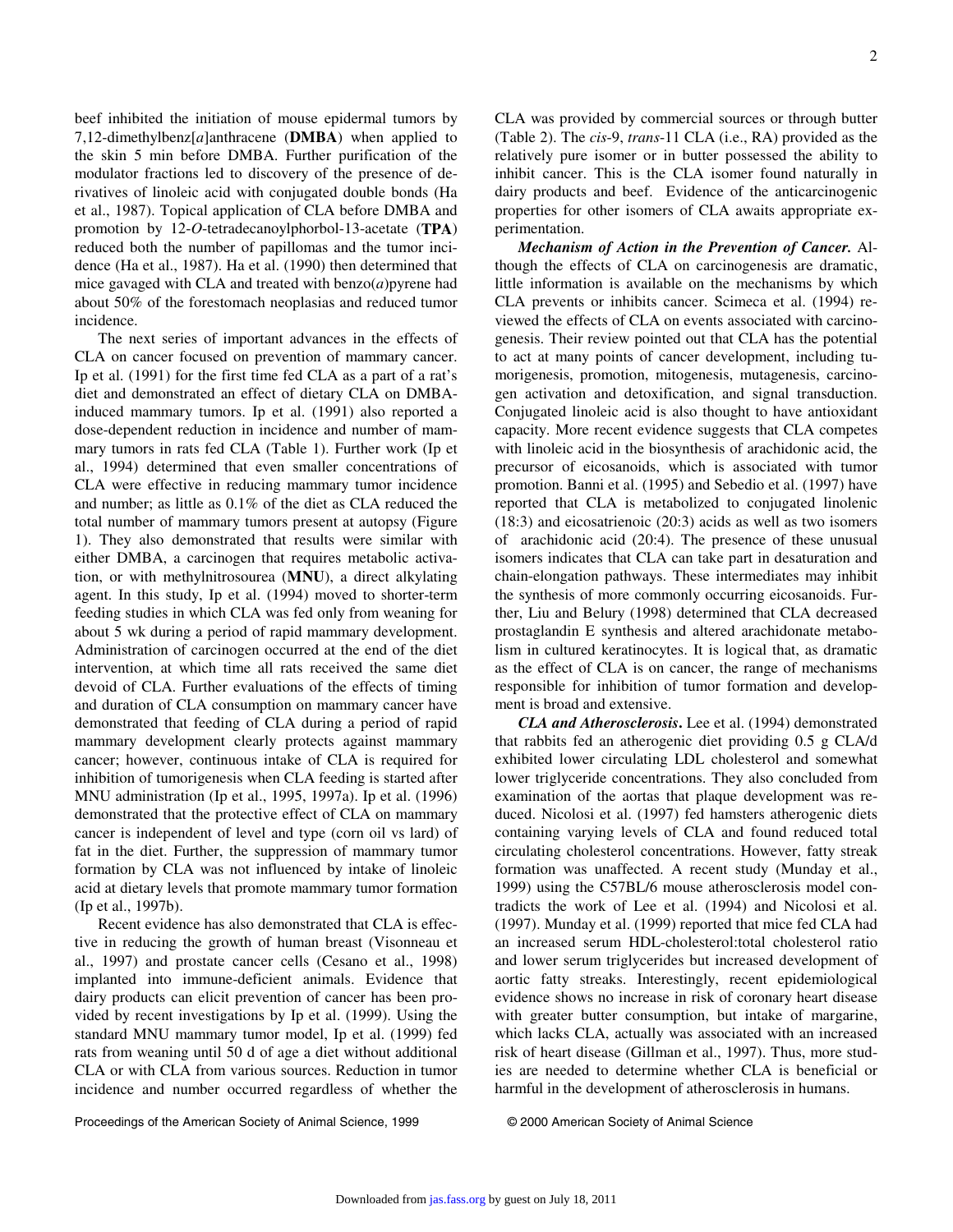beef inhibited the initiation of mouse epidermal tumors by 7,12-dimethylbenz[*a*]anthracene (**DMBA**) when applied to the skin 5 min before DMBA. Further purification of the modulator fractions led to discovery of the presence of derivatives of linoleic acid with conjugated double bonds (Ha et al., 1987). Topical application of CLA before DMBA and promotion by 12-*O*-tetradecanoylphorbol-13-acetate (**TPA**) reduced both the number of papillomas and the tumor incidence (Ha et al., 1987). Ha et al. (1990) then determined that mice gavaged with CLA and treated with benzo(*a*)pyrene had about 50% of the forestomach neoplasias and reduced tumor incidence.

The next series of important advances in the effects of CLA on cancer focused on prevention of mammary cancer. Ip et al. (1991) for the first time fed CLA as a part of a rat's diet and demonstrated an effect of dietary CLA on DMBAinduced mammary tumors. Ip et al. (1991) also reported a dose-dependent reduction in incidence and number of mammary tumors in rats fed CLA (Table 1). Further work (Ip et al., 1994) determined that even smaller concentrations of CLA were effective in reducing mammary tumor incidence and number; as little as 0.1% of the diet as CLA reduced the total number of mammary tumors present at autopsy (Figure 1). They also demonstrated that results were similar with either DMBA, a carcinogen that requires metabolic activation, or with methylnitrosourea (**MNU**), a direct alkylating agent. In this study, Ip et al. (1994) moved to shorter-term feeding studies in which CLA was fed only from weaning for about 5 wk during a period of rapid mammary development. Administration of carcinogen occurred at the end of the diet intervention, at which time all rats received the same diet devoid of CLA. Further evaluations of the effects of timing and duration of CLA consumption on mammary cancer have demonstrated that feeding of CLA during a period of rapid mammary development clearly protects against mammary cancer; however, continuous intake of CLA is required for inhibition of tumorigenesis when CLA feeding is started after MNU administration (Ip et al., 1995, 1997a). Ip et al. (1996) demonstrated that the protective effect of CLA on mammary cancer is independent of level and type (corn oil vs lard) of fat in the diet. Further, the suppression of mammary tumor formation by CLA was not influenced by intake of linoleic acid at dietary levels that promote mammary tumor formation (Ip et al., 1997b).

Recent evidence has also demonstrated that CLA is effective in reducing the growth of human breast (Visonneau et al., 1997) and prostate cancer cells (Cesano et al., 1998) implanted into immune-deficient animals. Evidence that dairy products can elicit prevention of cancer has been provided by recent investigations by Ip et al. (1999). Using the standard MNU mammary tumor model, Ip et al. (1999) fed rats from weaning until 50 d of age a diet without additional CLA or with CLA from various sources. Reduction in tumor incidence and number occurred regardless of whether the CLA was provided by commercial sources or through butter (Table 2). The *cis*-9, *trans*-11 CLA (i.e., RA) provided as the relatively pure isomer or in butter possessed the ability to inhibit cancer. This is the CLA isomer found naturally in dairy products and beef. Evidence of the anticarcinogenic properties for other isomers of CLA awaits appropriate experimentation.

*Mechanism of Action in the Prevention of Cancer.* Although the effects of CLA on carcinogenesis are dramatic, little information is available on the mechanisms by which CLA prevents or inhibits cancer. Scimeca et al. (1994) reviewed the effects of CLA on events associated with carcinogenesis. Their review pointed out that CLA has the potential to act at many points of cancer development, including tumorigenesis, promotion, mitogenesis, mutagenesis, carcinogen activation and detoxification, and signal transduction. Conjugated linoleic acid is also thought to have antioxidant capacity. More recent evidence suggests that CLA competes with linoleic acid in the biosynthesis of arachidonic acid, the precursor of eicosanoids, which is associated with tumor promotion. Banni et al. (1995) and Sebedio et al. (1997) have reported that CLA is metabolized to conjugated linolenic (18:3) and eicosatrienoic (20:3) acids as well as two isomers of arachidonic acid (20:4). The presence of these unusual isomers indicates that CLA can take part in desaturation and chain-elongation pathways. These intermediates may inhibit the synthesis of more commonly occurring eicosanoids. Further, Liu and Belury (1998) determined that CLA decreased prostaglandin E synthesis and altered arachidonate metabolism in cultured keratinocytes. It is logical that, as dramatic as the effect of CLA is on cancer, the range of mechanisms responsible for inhibition of tumor formation and development is broad and extensive.

*CLA and Atherosclerosis***.** Lee et al. (1994) demonstrated that rabbits fed an atherogenic diet providing 0.5 g CLA/d exhibited lower circulating LDL cholesterol and somewhat lower triglyceride concentrations. They also concluded from examination of the aortas that plaque development was reduced. Nicolosi et al. (1997) fed hamsters atherogenic diets containing varying levels of CLA and found reduced total circulating cholesterol concentrations. However, fatty streak formation was unaffected. A recent study (Munday et al., 1999) using the C57BL/6 mouse atherosclerosis model contradicts the work of Lee et al. (1994) and Nicolosi et al. (1997). Munday et al. (1999) reported that mice fed CLA had an increased serum HDL-cholesterol:total cholesterol ratio and lower serum triglycerides but increased development of aortic fatty streaks. Interestingly, recent epidemiological evidence shows no increase in risk of coronary heart disease with greater butter consumption, but intake of margarine, which lacks CLA, actually was associated with an increased risk of heart disease (Gillman et al., 1997). Thus, more studies are needed to determine whether CLA is beneficial or harmful in the development of atherosclerosis in humans.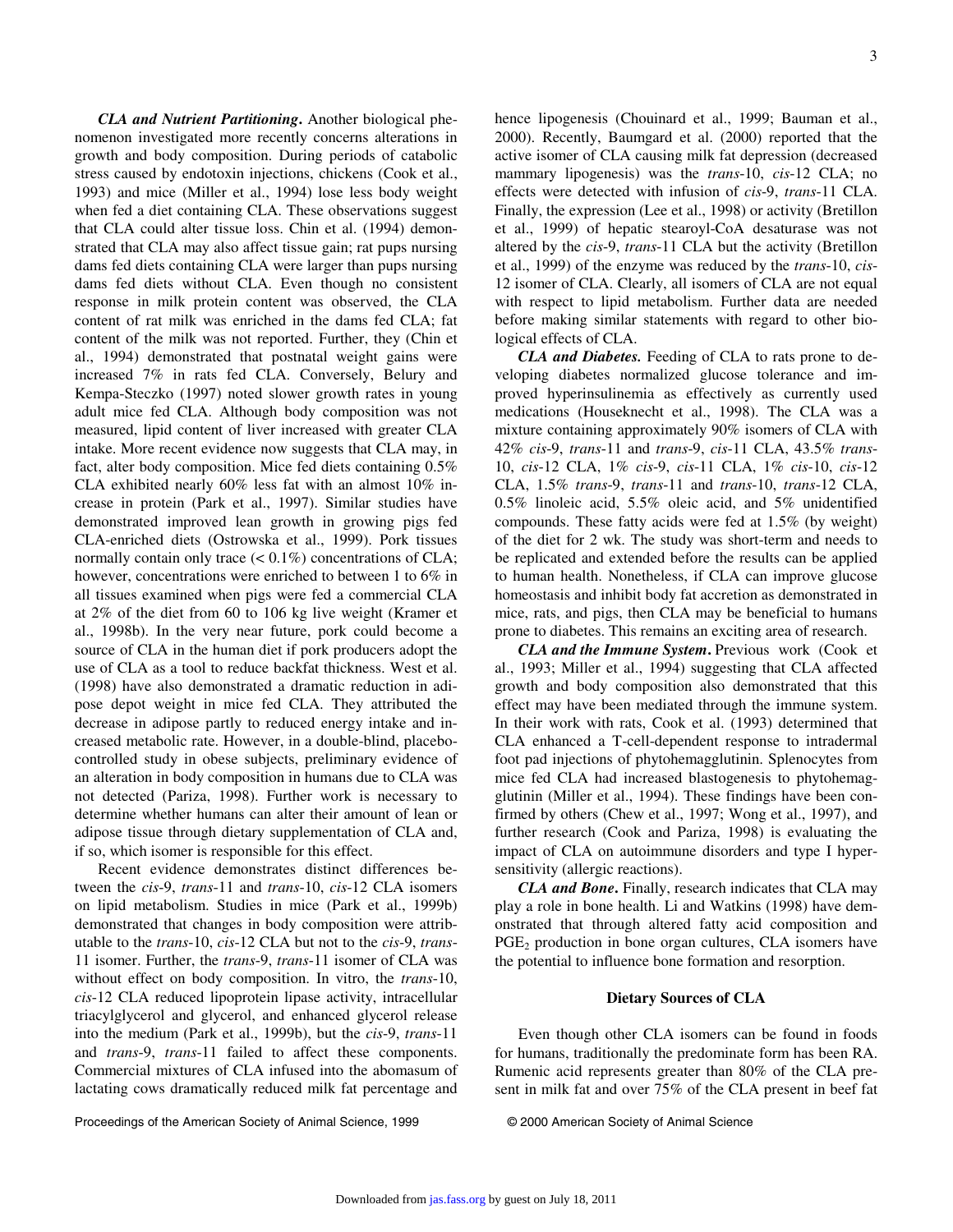3

*CLA and Nutrient Partitioning***.** Another biological phenomenon investigated more recently concerns alterations in growth and body composition. During periods of catabolic stress caused by endotoxin injections, chickens (Cook et al., 1993) and mice (Miller et al., 1994) lose less body weight when fed a diet containing CLA. These observations suggest that CLA could alter tissue loss. Chin et al. (1994) demonstrated that CLA may also affect tissue gain; rat pups nursing dams fed diets containing CLA were larger than pups nursing dams fed diets without CLA. Even though no consistent response in milk protein content was observed, the CLA content of rat milk was enriched in the dams fed CLA; fat content of the milk was not reported. Further, they (Chin et al., 1994) demonstrated that postnatal weight gains were increased 7% in rats fed CLA. Conversely, Belury and Kempa-Steczko (1997) noted slower growth rates in young adult mice fed CLA. Although body composition was not measured, lipid content of liver increased with greater CLA intake. More recent evidence now suggests that CLA may, in fact, alter body composition. Mice fed diets containing 0.5% CLA exhibited nearly 60% less fat with an almost 10% increase in protein (Park et al., 1997). Similar studies have demonstrated improved lean growth in growing pigs fed CLA-enriched diets (Ostrowska et al., 1999). Pork tissues normally contain only trace  $(< 0.1\%)$  concentrations of CLA; however, concentrations were enriched to between 1 to 6% in all tissues examined when pigs were fed a commercial CLA at 2% of the diet from 60 to 106 kg live weight (Kramer et al., 1998b). In the very near future, pork could become a source of CLA in the human diet if pork producers adopt the use of CLA as a tool to reduce backfat thickness. West et al. (1998) have also demonstrated a dramatic reduction in adipose depot weight in mice fed CLA. They attributed the decrease in adipose partly to reduced energy intake and increased metabolic rate. However, in a double-blind, placebocontrolled study in obese subjects, preliminary evidence of an alteration in body composition in humans due to CLA was not detected (Pariza, 1998). Further work is necessary to determine whether humans can alter their amount of lean or adipose tissue through dietary supplementation of CLA and, if so, which isomer is responsible for this effect.

Recent evidence demonstrates distinct differences between the *cis*-9, *trans*-11 and *trans*-10, *cis*-12 CLA isomers on lipid metabolism. Studies in mice (Park et al., 1999b) demonstrated that changes in body composition were attributable to the *trans*-10, *cis*-12 CLA but not to the *cis*-9, *trans*-11 isomer. Further, the *trans*-9, *trans*-11 isomer of CLA was without effect on body composition. In vitro, the *trans*-10, *cis*-12 CLA reduced lipoprotein lipase activity, intracellular triacylglycerol and glycerol, and enhanced glycerol release into the medium (Park et al., 1999b), but the *cis*-9, *trans*-11 and *trans*-9, *trans*-11 failed to affect these components. Commercial mixtures of CLA infused into the abomasum of lactating cows dramatically reduced milk fat percentage and hence lipogenesis (Chouinard et al., 1999; Bauman et al., 2000). Recently, Baumgard et al. (2000) reported that the active isomer of CLA causing milk fat depression (decreased mammary lipogenesis) was the *trans*-10, *cis*-12 CLA; no effects were detected with infusion of *cis*-9, *trans*-11 CLA. Finally, the expression (Lee et al., 1998) or activity (Bretillon et al., 1999) of hepatic stearoyl-CoA desaturase was not altered by the *cis*-9, *trans*-11 CLA but the activity (Bretillon et al., 1999) of the enzyme was reduced by the *trans*-10, *cis*-12 isomer of CLA. Clearly, all isomers of CLA are not equal with respect to lipid metabolism. Further data are needed before making similar statements with regard to other biological effects of CLA.

*CLA and Diabetes.* Feeding of CLA to rats prone to developing diabetes normalized glucose tolerance and improved hyperinsulinemia as effectively as currently used medications (Houseknecht et al., 1998). The CLA was a mixture containing approximately 90% isomers of CLA with 42% *cis*-9, *trans*-11 and *trans*-9, *cis*-11 CLA, 43.5% *trans*-10, *cis*-12 CLA, 1% *cis*-9, *cis*-11 CLA, 1% *cis*-10, *cis*-12 CLA, 1.5% *trans*-9, *trans*-11 and *trans*-10, *trans*-12 CLA, 0.5% linoleic acid, 5.5% oleic acid, and 5% unidentified compounds. These fatty acids were fed at 1.5% (by weight) of the diet for 2 wk. The study was short-term and needs to be replicated and extended before the results can be applied to human health. Nonetheless, if CLA can improve glucose homeostasis and inhibit body fat accretion as demonstrated in mice, rats, and pigs, then CLA may be beneficial to humans prone to diabetes. This remains an exciting area of research.

*CLA and the Immune System***.** Previous work (Cook et al., 1993; Miller et al., 1994) suggesting that CLA affected growth and body composition also demonstrated that this effect may have been mediated through the immune system. In their work with rats, Cook et al. (1993) determined that CLA enhanced a T-cell-dependent response to intradermal foot pad injections of phytohemagglutinin. Splenocytes from mice fed CLA had increased blastogenesis to phytohemagglutinin (Miller et al., 1994). These findings have been confirmed by others (Chew et al., 1997; Wong et al., 1997), and further research (Cook and Pariza, 1998) is evaluating the impact of CLA on autoimmune disorders and type I hypersensitivity (allergic reactions).

*CLA and Bone***.** Finally, research indicates that CLA may play a role in bone health. Li and Watkins (1998) have demonstrated that through altered fatty acid composition and  $PGE<sub>2</sub>$  production in bone organ cultures, CLA isomers have the potential to influence bone formation and resorption.

## **Dietary Sources of CLA**

Even though other CLA isomers can be found in foods for humans, traditionally the predominate form has been RA. Rumenic acid represents greater than 80% of the CLA present in milk fat and over 75% of the CLA present in beef fat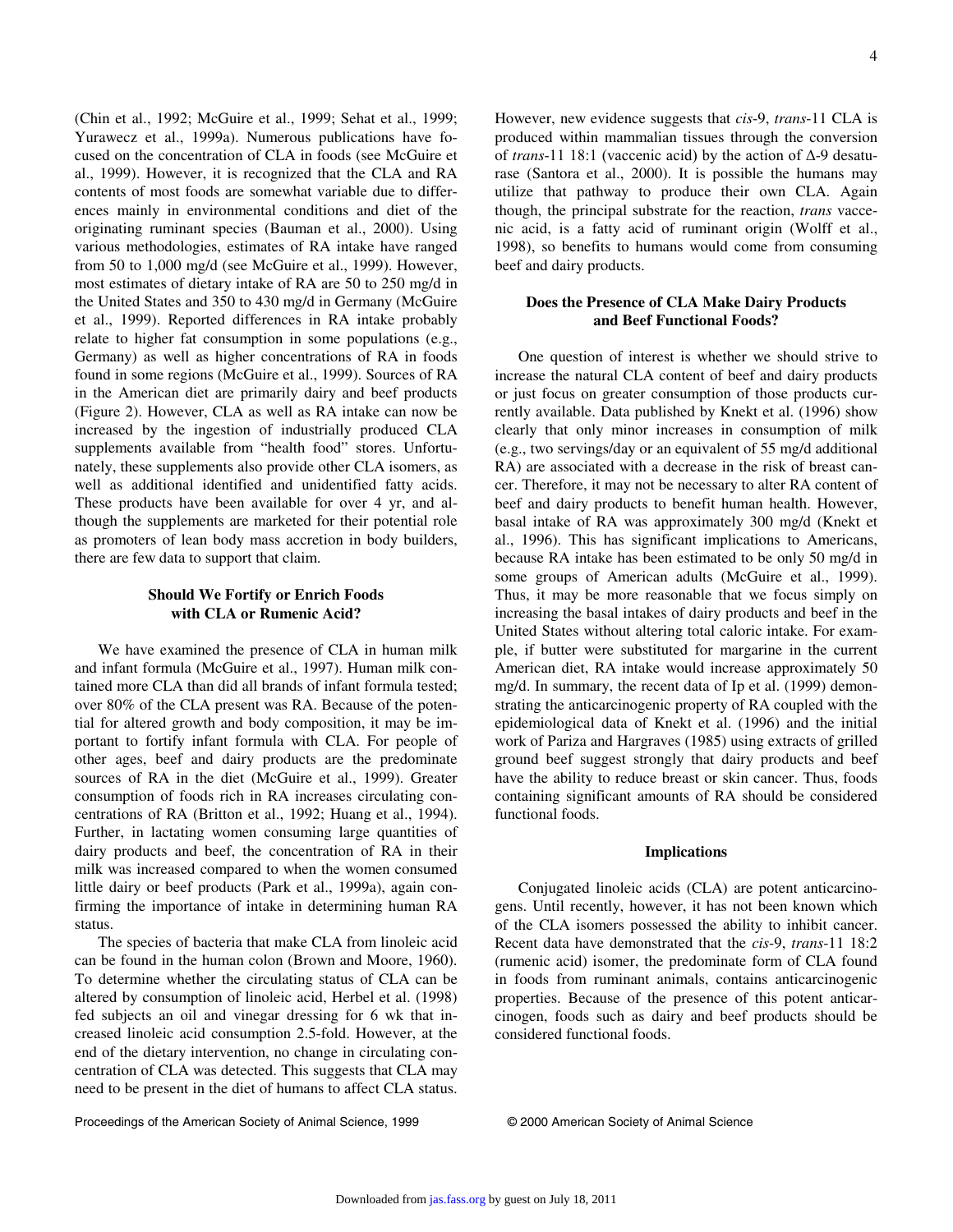(Chin et al., 1992; McGuire et al., 1999; Sehat et al., 1999; Yurawecz et al., 1999a). Numerous publications have focused on the concentration of CLA in foods (see McGuire et al., 1999). However, it is recognized that the CLA and RA contents of most foods are somewhat variable due to differences mainly in environmental conditions and diet of the originating ruminant species (Bauman et al., 2000). Using various methodologies, estimates of RA intake have ranged from 50 to 1,000 mg/d (see McGuire et al., 1999). However, most estimates of dietary intake of RA are 50 to 250 mg/d in the United States and 350 to 430 mg/d in Germany (McGuire et al., 1999). Reported differences in RA intake probably relate to higher fat consumption in some populations (e.g., Germany) as well as higher concentrations of RA in foods found in some regions (McGuire et al., 1999). Sources of RA in the American diet are primarily dairy and beef products (Figure 2). However, CLA as well as RA intake can now be increased by the ingestion of industrially produced CLA supplements available from "health food" stores. Unfortunately, these supplements also provide other CLA isomers, as well as additional identified and unidentified fatty acids. These products have been available for over 4 yr, and although the supplements are marketed for their potential role as promoters of lean body mass accretion in body builders, there are few data to support that claim.

## **Should We Fortify or Enrich Foods with CLA or Rumenic Acid?**

We have examined the presence of CLA in human milk and infant formula (McGuire et al., 1997). Human milk contained more CLA than did all brands of infant formula tested; over 80% of the CLA present was RA. Because of the potential for altered growth and body composition, it may be important to fortify infant formula with CLA. For people of other ages, beef and dairy products are the predominate sources of RA in the diet (McGuire et al., 1999). Greater consumption of foods rich in RA increases circulating concentrations of RA (Britton et al., 1992; Huang et al., 1994). Further, in lactating women consuming large quantities of dairy products and beef, the concentration of RA in their milk was increased compared to when the women consumed little dairy or beef products (Park et al., 1999a), again confirming the importance of intake in determining human RA status.

The species of bacteria that make CLA from linoleic acid can be found in the human colon (Brown and Moore, 1960). To determine whether the circulating status of CLA can be altered by consumption of linoleic acid, Herbel et al. (1998) fed subjects an oil and vinegar dressing for 6 wk that increased linoleic acid consumption 2.5-fold. However, at the end of the dietary intervention, no change in circulating concentration of CLA was detected. This suggests that CLA may need to be present in the diet of humans to affect CLA status.

However, new evidence suggests that *cis*-9, *trans*-11 CLA is produced within mammalian tissues through the conversion of *trans*-11 18:1 (vaccenic acid) by the action of Δ-9 desaturase (Santora et al., 2000). It is possible the humans may utilize that pathway to produce their own CLA. Again though, the principal substrate for the reaction, *trans* vaccenic acid, is a fatty acid of ruminant origin (Wolff et al., 1998), so benefits to humans would come from consuming beef and dairy products.

### **Does the Presence of CLA Make Dairy Products and Beef Functional Foods?**

One question of interest is whether we should strive to increase the natural CLA content of beef and dairy products or just focus on greater consumption of those products currently available. Data published by Knekt et al. (1996) show clearly that only minor increases in consumption of milk (e.g., two servings/day or an equivalent of 55 mg/d additional RA) are associated with a decrease in the risk of breast cancer. Therefore, it may not be necessary to alter RA content of beef and dairy products to benefit human health. However, basal intake of RA was approximately 300 mg/d (Knekt et al., 1996). This has significant implications to Americans, because RA intake has been estimated to be only 50 mg/d in some groups of American adults (McGuire et al., 1999). Thus, it may be more reasonable that we focus simply on increasing the basal intakes of dairy products and beef in the United States without altering total caloric intake. For example, if butter were substituted for margarine in the current American diet, RA intake would increase approximately 50 mg/d. In summary, the recent data of Ip et al. (1999) demonstrating the anticarcinogenic property of RA coupled with the epidemiological data of Knekt et al. (1996) and the initial work of Pariza and Hargraves (1985) using extracts of grilled ground beef suggest strongly that dairy products and beef have the ability to reduce breast or skin cancer. Thus, foods containing significant amounts of RA should be considered functional foods.

#### **Implications**

Conjugated linoleic acids (CLA) are potent anticarcinogens. Until recently, however, it has not been known which of the CLA isomers possessed the ability to inhibit cancer. Recent data have demonstrated that the *cis*-9, *trans*-11 18:2 (rumenic acid) isomer, the predominate form of CLA found in foods from ruminant animals, contains anticarcinogenic properties. Because of the presence of this potent anticarcinogen, foods such as dairy and beef products should be considered functional foods.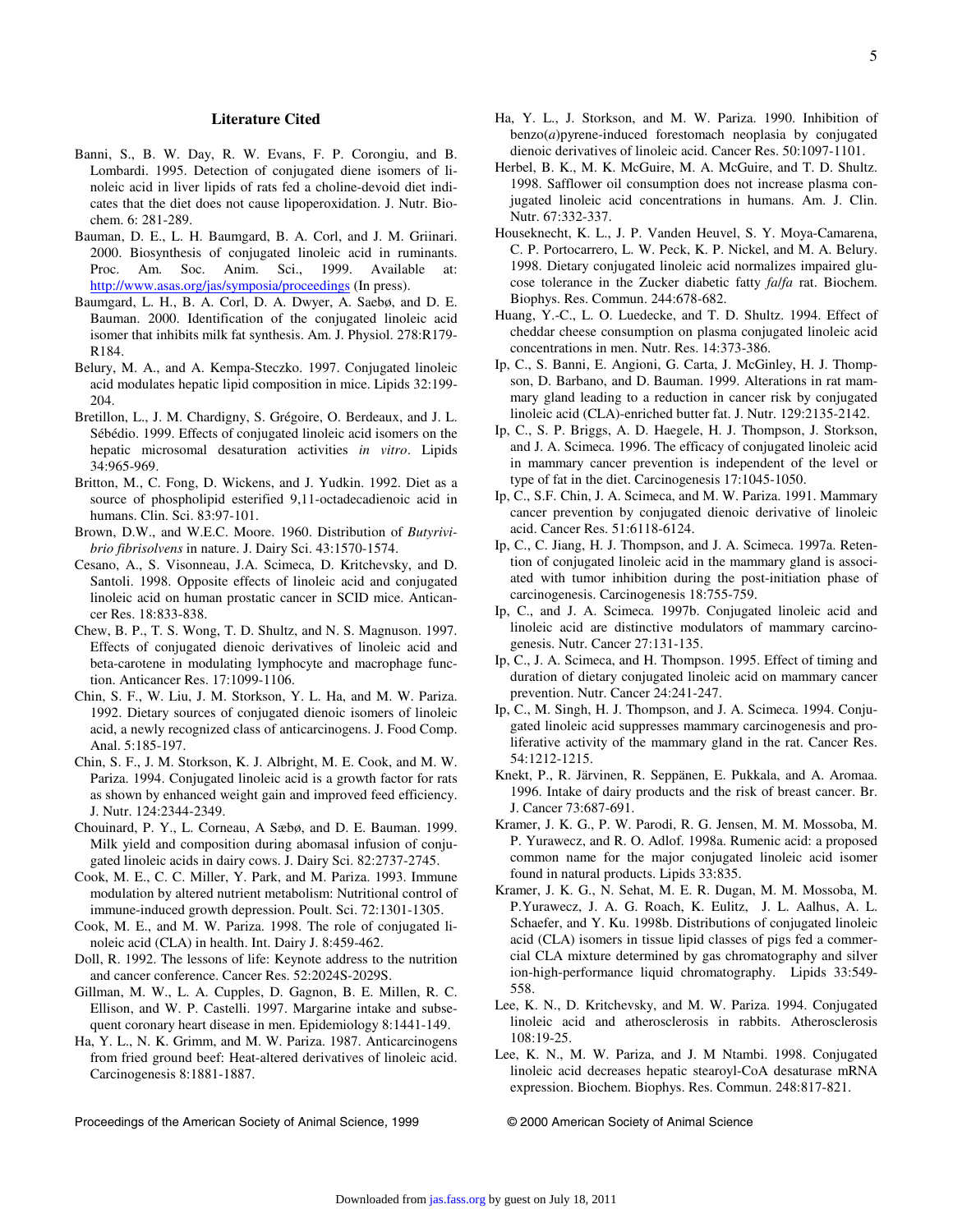#### **Literature Cited**

- Banni, S., B. W. Day, R. W. Evans, F. P. Corongiu, and B. Lombardi. 1995. Detection of conjugated diene isomers of linoleic acid in liver lipids of rats fed a choline-devoid diet indicates that the diet does not cause lipoperoxidation. J. Nutr. Biochem. 6: 281-289.
- Bauman, D. E., L. H. Baumgard, B. A. Corl, and J. M. Griinari. 2000. Biosynthesis of conjugated linoleic acid in ruminants. Proc. Am. Soc. Anim. Sci., 1999. Available at: http://www.asas.org/jas/symposia/proceedings (In press).
- Baumgard, L. H., B. A. Corl, D. A. Dwyer, A. Saebø, and D. E. Bauman. 2000. Identification of the conjugated linoleic acid isomer that inhibits milk fat synthesis. Am. J. Physiol. 278:R179- R184.
- Belury, M. A., and A. Kempa-Steczko. 1997. Conjugated linoleic acid modulates hepatic lipid composition in mice. Lipids 32:199- 204.
- Bretillon, L., J. M. Chardigny, S. Grégoire, O. Berdeaux, and J. L. Sébédio. 1999. Effects of conjugated linoleic acid isomers on the hepatic microsomal desaturation activities *in vitro*. Lipids 34:965-969.
- Britton, M., C. Fong, D. Wickens, and J. Yudkin. 1992. Diet as a source of phospholipid esterified 9,11-octadecadienoic acid in humans. Clin. Sci. 83:97-101.
- Brown, D.W., and W.E.C. Moore. 1960. Distribution of *Butyrivibrio fibrisolvens* in nature. J. Dairy Sci. 43:1570-1574.
- Cesano, A., S. Visonneau, J.A. Scimeca, D. Kritchevsky, and D. Santoli. 1998. Opposite effects of linoleic acid and conjugated linoleic acid on human prostatic cancer in SCID mice. Anticancer Res. 18:833-838.
- Chew, B. P., T. S. Wong, T. D. Shultz, and N. S. Magnuson. 1997. Effects of conjugated dienoic derivatives of linoleic acid and beta-carotene in modulating lymphocyte and macrophage function. Anticancer Res. 17:1099-1106.
- Chin, S. F., W. Liu, J. M. Storkson, Y. L. Ha, and M. W. Pariza. 1992. Dietary sources of conjugated dienoic isomers of linoleic acid, a newly recognized class of anticarcinogens. J. Food Comp. Anal. 5:185-197.
- Chin, S. F., J. M. Storkson, K. J. Albright, M. E. Cook, and M. W. Pariza. 1994. Conjugated linoleic acid is a growth factor for rats as shown by enhanced weight gain and improved feed efficiency. J. Nutr. 124:2344-2349.
- Chouinard, P. Y., L. Corneau, A Sæbø, and D. E. Bauman. 1999. Milk yield and composition during abomasal infusion of conjugated linoleic acids in dairy cows. J. Dairy Sci. 82:2737-2745.
- Cook, M. E., C. C. Miller, Y. Park, and M. Pariza. 1993. Immune modulation by altered nutrient metabolism: Nutritional control of immune-induced growth depression. Poult. Sci. 72:1301-1305.
- Cook, M. E., and M. W. Pariza. 1998. The role of conjugated linoleic acid (CLA) in health. Int. Dairy J. 8:459-462.
- Doll, R. 1992. The lessons of life: Keynote address to the nutrition and cancer conference. Cancer Res. 52:2024S-2029S.
- Gillman, M. W., L. A. Cupples, D. Gagnon, B. E. Millen, R. C. Ellison, and W. P. Castelli. 1997. Margarine intake and subsequent coronary heart disease in men. Epidemiology 8:1441-149.
- Ha, Y. L., N. K. Grimm, and M. W. Pariza. 1987. Anticarcinogens from fried ground beef: Heat-altered derivatives of linoleic acid. Carcinogenesis 8:1881-1887.
- Ha, Y. L., J. Storkson, and M. W. Pariza. 1990. Inhibition of  $benzo(a)$  pyrene-induced forestomach neoplasia by conjugated dienoic derivatives of linoleic acid. Cancer Res. 50:1097-1101.
- Herbel, B. K., M. K. McGuire, M. A. McGuire, and T. D. Shultz. 1998. Safflower oil consumption does not increase plasma conjugated linoleic acid concentrations in humans. Am. J. Clin. Nutr. 67:332-337.
- Houseknecht, K. L., J. P. Vanden Heuvel, S. Y. Moya-Camarena, C. P. Portocarrero, L. W. Peck, K. P. Nickel, and M. A. Belury. 1998. Dietary conjugated linoleic acid normalizes impaired glucose tolerance in the Zucker diabetic fatty *fa*/*fa* rat. Biochem. Biophys. Res. Commun. 244:678-682.
- Huang, Y.-C., L. O. Luedecke, and T. D. Shultz. 1994. Effect of cheddar cheese consumption on plasma conjugated linoleic acid concentrations in men. Nutr. Res. 14:373-386.
- Ip, C., S. Banni, E. Angioni, G. Carta, J. McGinley, H. J. Thompson, D. Barbano, and D. Bauman. 1999. Alterations in rat mammary gland leading to a reduction in cancer risk by conjugated linoleic acid (CLA)-enriched butter fat. J. Nutr. 129:2135-2142.
- Ip, C., S. P. Briggs, A. D. Haegele, H. J. Thompson, J. Storkson, and J. A. Scimeca. 1996. The efficacy of conjugated linoleic acid in mammary cancer prevention is independent of the level or type of fat in the diet. Carcinogenesis 17:1045-1050.
- Ip, C., S.F. Chin, J. A. Scimeca, and M. W. Pariza. 1991. Mammary cancer prevention by conjugated dienoic derivative of linoleic acid. Cancer Res. 51:6118-6124.
- Ip, C., C. Jiang, H. J. Thompson, and J. A. Scimeca. 1997a. Retention of conjugated linoleic acid in the mammary gland is associated with tumor inhibition during the post-initiation phase of carcinogenesis. Carcinogenesis 18:755-759.
- Ip, C., and J. A. Scimeca. 1997b. Conjugated linoleic acid and linoleic acid are distinctive modulators of mammary carcinogenesis. Nutr. Cancer 27:131-135.
- Ip, C., J. A. Scimeca, and H. Thompson. 1995. Effect of timing and duration of dietary conjugated linoleic acid on mammary cancer prevention. Nutr. Cancer 24:241-247.
- Ip, C., M. Singh, H. J. Thompson, and J. A. Scimeca. 1994. Conjugated linoleic acid suppresses mammary carcinogenesis and proliferative activity of the mammary gland in the rat. Cancer Res. 54:1212-1215.
- Knekt, P., R. Järvinen, R. Seppänen, E. Pukkala, and A. Aromaa. 1996. Intake of dairy products and the risk of breast cancer. Br. J. Cancer 73:687-691.
- Kramer, J. K. G., P. W. Parodi, R. G. Jensen, M. M. Mossoba, M. P. Yurawecz, and R. O. Adlof. 1998a. Rumenic acid: a proposed common name for the major conjugated linoleic acid isomer found in natural products. Lipids 33:835.
- Kramer, J. K. G., N. Sehat, M. E. R. Dugan, M. M. Mossoba, M. P.Yurawecz, J. A. G. Roach, K. Eulitz, J. L. Aalhus, A. L. Schaefer, and Y. Ku. 1998b. Distributions of conjugated linoleic acid (CLA) isomers in tissue lipid classes of pigs fed a commercial CLA mixture determined by gas chromatography and silver ion-high-performance liquid chromatography. Lipids 33:549- 558.
- Lee, K. N., D. Kritchevsky, and M. W. Pariza. 1994. Conjugated linoleic acid and atherosclerosis in rabbits. Atherosclerosis 108:19-25.
- Lee, K. N., M. W. Pariza, and J. M Ntambi. 1998. Conjugated linoleic acid decreases hepatic stearoyl-CoA desaturase mRNA expression. Biochem. Biophys. Res. Commun. 248:817-821.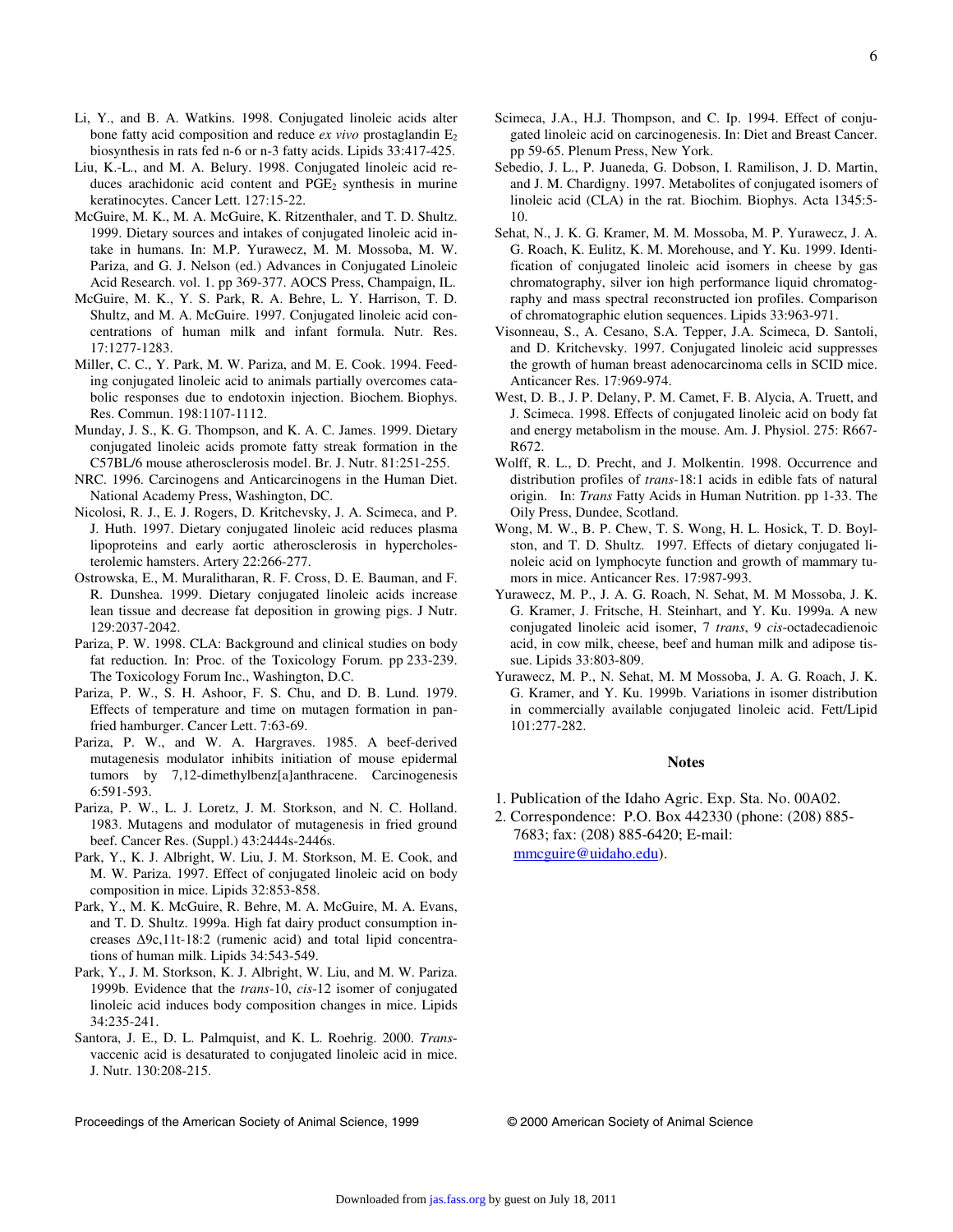- Li, Y., and B. A. Watkins. 1998. Conjugated linoleic acids alter bone fatty acid composition and reduce *ex vivo* prostaglandin E<sub>2</sub> biosynthesis in rats fed n-6 or n-3 fatty acids. Lipids 33:417-425.
- Liu, K.-L., and M. A. Belury. 1998. Conjugated linoleic acid reduces arachidonic acid content and  $PGE<sub>2</sub>$  synthesis in murine keratinocytes. Cancer Lett. 127:15-22.
- McGuire, M. K., M. A. McGuire, K. Ritzenthaler, and T. D. Shultz. 1999. Dietary sources and intakes of conjugated linoleic acid intake in humans. In: M.P. Yurawecz, M. M. Mossoba, M. W. Pariza, and G. J. Nelson (ed.) Advances in Conjugated Linoleic Acid Research. vol. 1. pp 369-377. AOCS Press, Champaign, IL.
- McGuire, M. K., Y. S. Park, R. A. Behre, L. Y. Harrison, T. D. Shultz, and M. A. McGuire. 1997. Conjugated linoleic acid concentrations of human milk and infant formula. Nutr. Res. 17:1277-1283.
- Miller, C. C., Y. Park, M. W. Pariza, and M. E. Cook. 1994. Feeding conjugated linoleic acid to animals partially overcomes catabolic responses due to endotoxin injection. Biochem. Biophys. Res. Commun. 198:1107-1112.
- Munday, J. S., K. G. Thompson, and K. A. C. James. 1999. Dietary conjugated linoleic acids promote fatty streak formation in the C57BL/6 mouse atherosclerosis model. Br. J. Nutr. 81:251-255.
- NRC. 1996. Carcinogens and Anticarcinogens in the Human Diet. National Academy Press, Washington, DC.
- Nicolosi, R. J., E. J. Rogers, D. Kritchevsky, J. A. Scimeca, and P. J. Huth. 1997. Dietary conjugated linoleic acid reduces plasma lipoproteins and early aortic atherosclerosis in hypercholesterolemic hamsters. Artery 22:266-277.
- Ostrowska, E., M. Muralitharan, R. F. Cross, D. E. Bauman, and F. R. Dunshea. 1999. Dietary conjugated linoleic acids increase lean tissue and decrease fat deposition in growing pigs. J Nutr. 129:2037-2042.
- Pariza, P. W. 1998. CLA: Background and clinical studies on body fat reduction. In: Proc. of the Toxicology Forum. pp 233-239. The Toxicology Forum Inc., Washington, D.C.
- Pariza, P. W., S. H. Ashoor, F. S. Chu, and D. B. Lund. 1979. Effects of temperature and time on mutagen formation in panfried hamburger. Cancer Lett. 7:63-69.
- Pariza, P. W., and W. A. Hargraves. 1985. A beef-derived mutagenesis modulator inhibits initiation of mouse epidermal tumors by 7,12-dimethylbenz[a]anthracene. Carcinogenesis 6:591-593.
- Pariza, P. W., L. J. Loretz, J. M. Storkson, and N. C. Holland. 1983. Mutagens and modulator of mutagenesis in fried ground beef. Cancer Res. (Suppl.) 43:2444s-2446s.
- Park, Y., K. J. Albright, W. Liu, J. M. Storkson, M. E. Cook, and M. W. Pariza. 1997. Effect of conjugated linoleic acid on body composition in mice. Lipids 32:853-858.
- Park, Y., M. K. McGuire, R. Behre, M. A. McGuire, M. A. Evans, and T. D. Shultz. 1999a. High fat dairy product consumption increases Δ9c,11t-18:2 (rumenic acid) and total lipid concentrations of human milk. Lipids 34:543-549.
- Park, Y., J. M. Storkson, K. J. Albright, W. Liu, and M. W. Pariza. 1999b. Evidence that the *trans*-10, *cis*-12 isomer of conjugated linoleic acid induces body composition changes in mice. Lipids 34:235-241.
- Santora, J. E., D. L. Palmquist, and K. L. Roehrig. 2000. *Trans*vaccenic acid is desaturated to conjugated linoleic acid in mice. J. Nutr. 130:208-215.
- Scimeca, J.A., H.J. Thompson, and C. Ip. 1994. Effect of conjugated linoleic acid on carcinogenesis. In: Diet and Breast Cancer. pp 59-65. Plenum Press, New York.
- Sebedio, J. L., P. Juaneda, G. Dobson, I. Ramilison, J. D. Martin, and J. M. Chardigny. 1997. Metabolites of conjugated isomers of linoleic acid (CLA) in the rat. Biochim. Biophys. Acta 1345:5- 10.
- Sehat, N., J. K. G. Kramer, M. M. Mossoba, M. P. Yurawecz, J. A. G. Roach, K. Eulitz, K. M. Morehouse, and Y. Ku. 1999. Identification of conjugated linoleic acid isomers in cheese by gas chromatography, silver ion high performance liquid chromatography and mass spectral reconstructed ion profiles. Comparison of chromatographic elution sequences. Lipids 33:963-971.
- Visonneau, S., A. Cesano, S.A. Tepper, J.A. Scimeca, D. Santoli, and D. Kritchevsky. 1997. Conjugated linoleic acid suppresses the growth of human breast adenocarcinoma cells in SCID mice. Anticancer Res. 17:969-974.
- West, D. B., J. P. Delany, P. M. Camet, F. B. Alycia, A. Truett, and J. Scimeca. 1998. Effects of conjugated linoleic acid on body fat and energy metabolism in the mouse. Am. J. Physiol. 275: R667- R672.
- Wolff, R. L., D. Precht, and J. Molkentin. 1998. Occurrence and distribution profiles of *trans*-18:1 acids in edible fats of natural origin. In: *Trans* Fatty Acids in Human Nutrition. pp 1-33. The Oily Press, Dundee, Scotland.
- Wong, M. W., B. P. Chew, T. S. Wong, H. L. Hosick, T. D. Boylston, and T. D. Shultz. 1997. Effects of dietary conjugated linoleic acid on lymphocyte function and growth of mammary tumors in mice. Anticancer Res. 17:987-993.
- Yurawecz, M. P., J. A. G. Roach, N. Sehat, M. M Mossoba, J. K. G. Kramer, J. Fritsche, H. Steinhart, and Y. Ku. 1999a. A new conjugated linoleic acid isomer, 7 *trans*, 9 *cis*-octadecadienoic acid, in cow milk, cheese, beef and human milk and adipose tissue. Lipids 33:803-809.
- Yurawecz, M. P., N. Sehat, M. M Mossoba, J. A. G. Roach, J. K. G. Kramer, and Y. Ku. 1999b. Variations in isomer distribution in commercially available conjugated linoleic acid. Fett/Lipid 101:277-282.

#### **Notes**

- 1. Publication of the Idaho Agric. Exp. Sta. No. 00A02.
- 2. Correspondence: P.O. Box 442330 (phone: (208) 885- 7683; fax: (208) 885-6420; E-mail: mmcguire@uidaho.edu).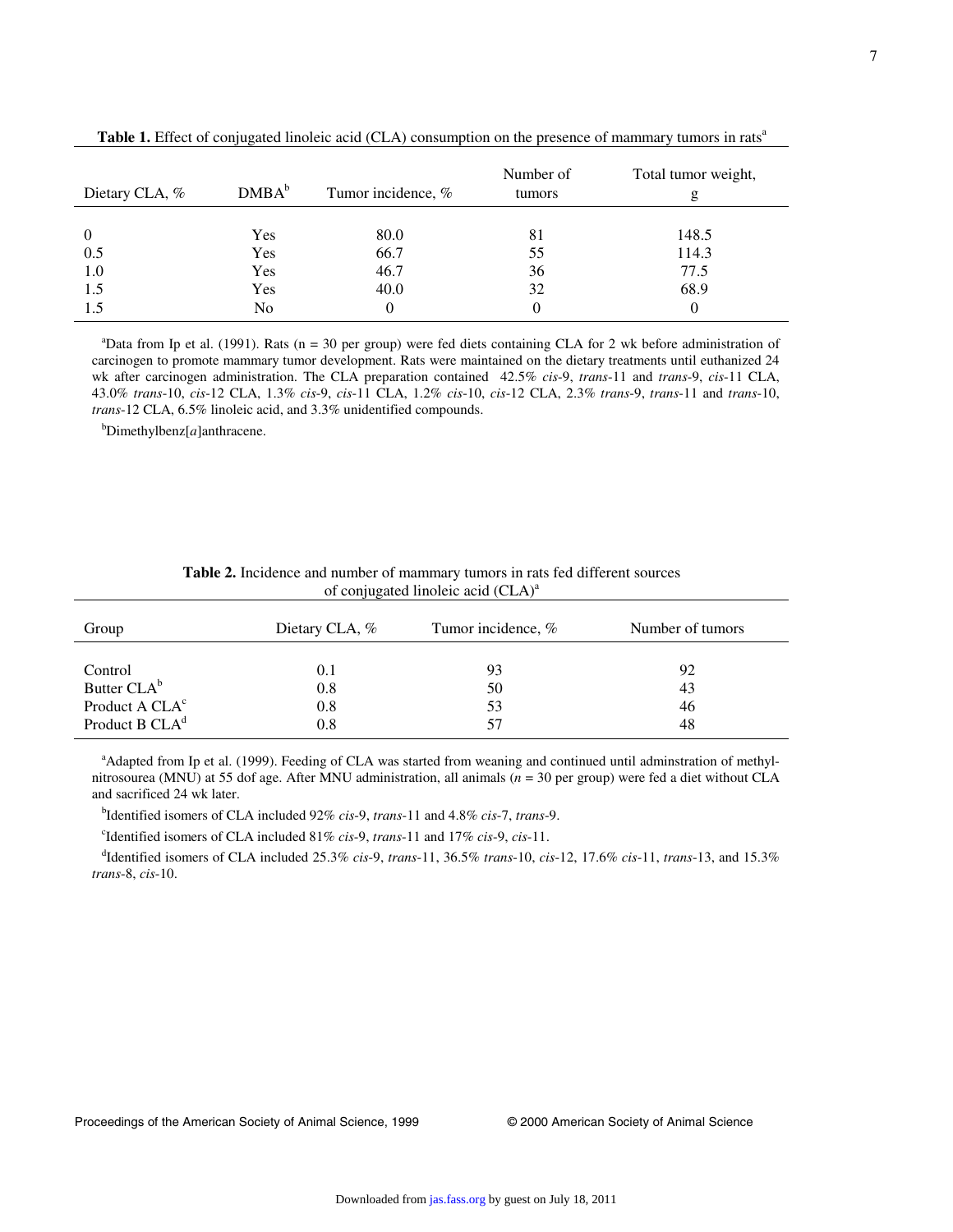| Dietary CLA, %                      | DMBA <sup>b</sup>        | Tumor incidence, %           | Number of<br>tumors  | Total tumor weight,<br>g       |
|-------------------------------------|--------------------------|------------------------------|----------------------|--------------------------------|
| $\overline{0}$<br>0.5<br>1.0<br>1.5 | Yes<br>Yes<br>Yes<br>Yes | 80.0<br>66.7<br>46.7<br>40.0 | 81<br>55<br>36<br>32 | 148.5<br>114.3<br>77.5<br>68.9 |
| 1.5                                 | No                       | $\theta$                     | $\theta$             |                                |

Table 1. Effect of conjugated linoleic acid (CLA) consumption on the presence of mammary tumors in rats<sup>a</sup>

<sup>a</sup>Data from Ip et al. (1991). Rats (n = 30 per group) were fed diets containing CLA for 2 wk before administration of carcinogen to promote mammary tumor development. Rats were maintained on the dietary treatments until euthanized 24 wk after carcinogen administration. The CLA preparation contained 42.5% *cis*-9, *trans*-11 and *trans*-9, *cis*-11 CLA, 43.0% *trans*-10, *cis*-12 CLA, 1.3% *cis*-9, *cis*-11 CLA, 1.2% *cis*-10, *cis*-12 CLA, 2.3% *trans*-9, *trans*-11 and *trans*-10, *trans*-12 CLA, 6.5% linoleic acid, and 3.3% unidentified compounds.

<sup>b</sup> Dimethylbenz[*a*]anthracene.

| Group                      | Dietary CLA, % | Tumor incidence, % | Number of tumors |
|----------------------------|----------------|--------------------|------------------|
|                            |                |                    |                  |
| Control                    | 0.1            | 93                 | 92               |
| Butter CLA <sup>b</sup>    | 0.8            | 50                 | 43               |
| Product A CLA <sup>c</sup> | 0.8            | 53                 | 46               |
| Product B CLA <sup>d</sup> | 0.8            | 57                 | 48               |

| <b>Table 2.</b> Incidence and number of mammary tumors in rats fed different sources |  |  |  |  |
|--------------------------------------------------------------------------------------|--|--|--|--|
| of conjugated linoleic acid (CLA) <sup>a</sup>                                       |  |  |  |  |

<sup>a</sup>Adapted from Ip et al. (1999). Feeding of CLA was started from weaning and continued until adminstration of methylnitrosourea (MNU) at 55 dof age. After MNU administration, all animals (*n* = 30 per group) were fed a diet without CLA and sacrificed 24 wk later.

<sup>b</sup> Identified isomers of CLA included 92% *cis*-9, *trans*-11 and 4.8% *cis*-7, *trans*-9.

<sup>c</sup> Identified isomers of CLA included 81% *cis*-9, *trans*-11 and 17% *cis*-9, *cis*-11.

 <sup>d</sup> Identified isomers of CLA included 25.3% *cis*-9, *trans*-11, 36.5% *trans*-10, *cis*-12, 17.6% *cis*-11, *trans*-13, and 15.3% *trans*-8, *cis*-10.